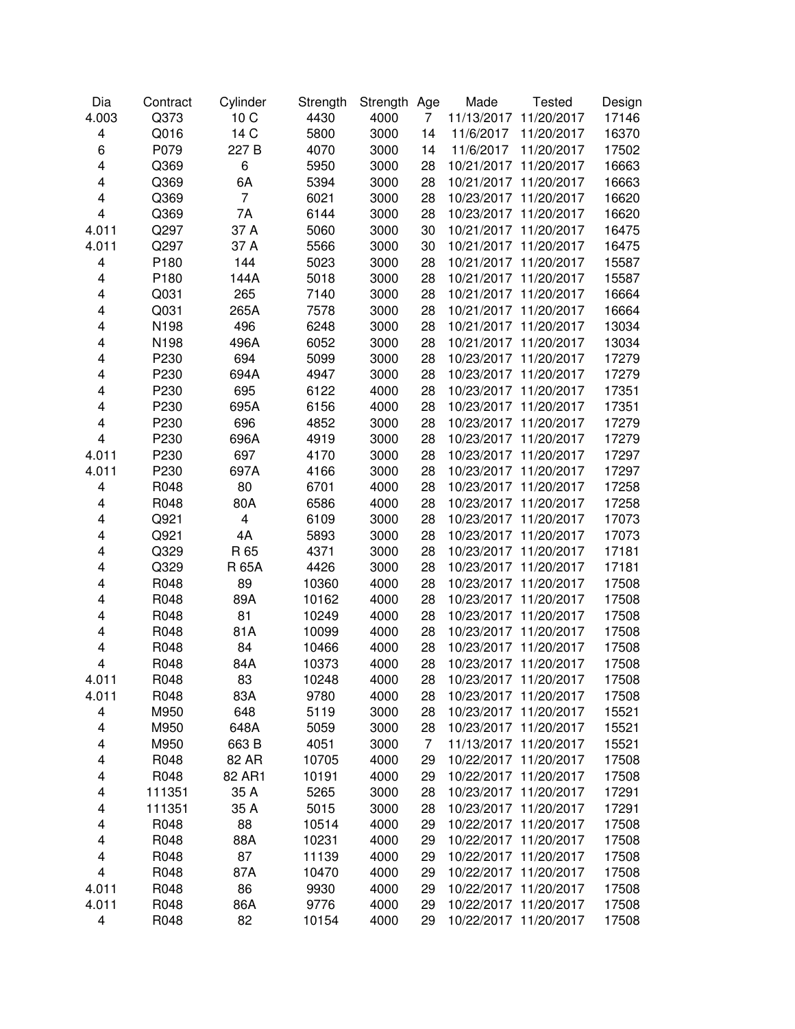| Dia                     | Contract | Cylinder                | Strength | Strength Age |                | Made       | <b>Tested</b>         | Design |
|-------------------------|----------|-------------------------|----------|--------------|----------------|------------|-----------------------|--------|
| 4.003                   | Q373     | 10C                     | 4430     | 4000         | $\overline{7}$ | 11/13/2017 | 11/20/2017            | 17146  |
| 4                       | Q016     | 14 C                    | 5800     | 3000         | 14             | 11/6/2017  | 11/20/2017            | 16370  |
| 6                       | P079     | 227 B                   | 4070     | 3000         | 14             | 11/6/2017  | 11/20/2017            | 17502  |
| $\overline{\mathbf{4}}$ | Q369     | 6                       | 5950     | 3000         | 28             | 10/21/2017 | 11/20/2017            | 16663  |
| $\overline{\mathbf{4}}$ | Q369     | 6A                      | 5394     | 3000         | 28             |            | 10/21/2017 11/20/2017 | 16663  |
| $\overline{\mathbf{4}}$ | Q369     | 7                       | 6021     | 3000         | 28             |            | 10/23/2017 11/20/2017 | 16620  |
| 4                       | Q369     | 7A                      | 6144     | 3000         | 28             |            | 10/23/2017 11/20/2017 | 16620  |
| 4.011                   | Q297     | 37 A                    | 5060     | 3000         | 30             |            | 10/21/2017 11/20/2017 | 16475  |
| 4.011                   | Q297     | 37 A                    | 5566     | 3000         | 30             |            | 10/21/2017 11/20/2017 | 16475  |
| $\overline{\mathbf{4}}$ | P180     | 144                     | 5023     | 3000         | 28             |            | 10/21/2017 11/20/2017 | 15587  |
| $\overline{\mathbf{4}}$ | P180     | 144A                    | 5018     | 3000         | 28             |            | 10/21/2017 11/20/2017 | 15587  |
| $\overline{\mathbf{4}}$ | Q031     | 265                     | 7140     | 3000         | 28             |            | 10/21/2017 11/20/2017 | 16664  |
| 4                       | Q031     | 265A                    | 7578     | 3000         | 28             |            | 10/21/2017 11/20/2017 | 16664  |
| 4                       | N198     | 496                     | 6248     | 3000         | 28             |            | 10/21/2017 11/20/2017 | 13034  |
| $\overline{\mathbf{4}}$ | N198     | 496A                    | 6052     | 3000         | 28             |            | 10/21/2017 11/20/2017 | 13034  |
| $\overline{\mathbf{4}}$ | P230     | 694                     | 5099     | 3000         | 28             |            | 10/23/2017 11/20/2017 | 17279  |
| 4                       | P230     | 694A                    | 4947     | 3000         | 28             |            | 10/23/2017 11/20/2017 | 17279  |
| $\overline{\mathbf{4}}$ | P230     | 695                     | 6122     | 4000         | 28             |            | 10/23/2017 11/20/2017 | 17351  |
| $\overline{\mathbf{4}}$ | P230     | 695A                    | 6156     | 4000         | 28             |            | 10/23/2017 11/20/2017 | 17351  |
| $\overline{\mathbf{4}}$ | P230     | 696                     | 4852     | 3000         | 28             |            | 10/23/2017 11/20/2017 | 17279  |
| 4                       | P230     | 696A                    | 4919     | 3000         | 28             |            | 10/23/2017 11/20/2017 | 17279  |
| 4.011                   | P230     | 697                     | 4170     | 3000         | 28             |            | 10/23/2017 11/20/2017 | 17297  |
| 4.011                   | P230     | 697A                    | 4166     | 3000         | 28             |            | 10/23/2017 11/20/2017 | 17297  |
| 4                       | R048     | 80                      | 6701     | 4000         | 28             |            | 10/23/2017 11/20/2017 | 17258  |
| $\overline{\mathbf{4}}$ | R048     | 80A                     | 6586     | 4000         | 28             |            | 10/23/2017 11/20/2017 | 17258  |
| 4                       | Q921     | $\overline{\mathbf{4}}$ | 6109     | 3000         | 28             |            | 10/23/2017 11/20/2017 | 17073  |
| 4                       | Q921     | 4A                      | 5893     | 3000         | 28             |            | 10/23/2017 11/20/2017 | 17073  |
| 4                       | Q329     | R 65                    | 4371     | 3000         | 28             |            | 10/23/2017 11/20/2017 | 17181  |
| $\overline{\mathbf{4}}$ | Q329     | R 65A                   | 4426     | 3000         | 28             |            | 10/23/2017 11/20/2017 | 17181  |
| $\overline{\mathbf{4}}$ | R048     | 89                      | 10360    | 4000         | 28             |            | 10/23/2017 11/20/2017 | 17508  |
| 4                       | R048     | 89A                     | 10162    | 4000         | 28             |            | 10/23/2017 11/20/2017 | 17508  |
| 4                       | R048     | 81                      | 10249    | 4000         | 28             |            | 10/23/2017 11/20/2017 | 17508  |
| 4                       | R048     | 81A                     | 10099    | 4000         | 28             |            | 10/23/2017 11/20/2017 | 17508  |
| 4                       | R048     | 84                      | 10466    | 4000         | 28             |            | 10/23/2017 11/20/2017 | 17508  |
| 4                       | R048     | 84A                     | 10373    | 4000         | 28             |            | 10/23/2017 11/20/2017 | 17508  |
| 4.011                   | R048     | 83                      | 10248    | 4000         | 28             |            | 10/23/2017 11/20/2017 | 17508  |
| 4.011                   | R048     | 83A                     | 9780     | 4000         | 28             |            | 10/23/2017 11/20/2017 | 17508  |
| 4                       | M950     | 648                     | 5119     | 3000         | 28             |            | 10/23/2017 11/20/2017 | 15521  |
| 4                       | M950     | 648A                    | 5059     | 3000         | 28             |            | 10/23/2017 11/20/2017 | 15521  |
| 4                       | M950     | 663 B                   | 4051     | 3000         | $\overline{7}$ |            | 11/13/2017 11/20/2017 | 15521  |
| $\overline{\mathbf{4}}$ | R048     | 82 AR                   | 10705    | 4000         | 29             |            | 10/22/2017 11/20/2017 | 17508  |
| 4                       | R048     | 82 AR1                  | 10191    | 4000         | 29             |            | 10/22/2017 11/20/2017 | 17508  |
| 4                       | 111351   | 35 A                    | 5265     | 3000         | 28             |            | 10/23/2017 11/20/2017 | 17291  |
| 4                       | 111351   | 35 A                    | 5015     | 3000         | 28             |            | 10/23/2017 11/20/2017 | 17291  |
| 4                       | R048     | 88                      | 10514    | 4000         | 29             |            | 10/22/2017 11/20/2017 | 17508  |
| 4                       | R048     | 88A                     | 10231    | 4000         | 29             |            | 10/22/2017 11/20/2017 | 17508  |
| 4                       | R048     | 87                      | 11139    | 4000         | 29             |            | 10/22/2017 11/20/2017 | 17508  |
| 4                       | R048     | 87A                     | 10470    | 4000         | 29             |            | 10/22/2017 11/20/2017 | 17508  |
| 4.011                   | R048     | 86                      | 9930     | 4000         | 29             |            | 10/22/2017 11/20/2017 | 17508  |
| 4.011                   | R048     | 86A                     | 9776     | 4000         | 29             |            | 10/22/2017 11/20/2017 | 17508  |
| $\overline{\mathbf{4}}$ | R048     | 82                      | 10154    | 4000         | 29             |            | 10/22/2017 11/20/2017 | 17508  |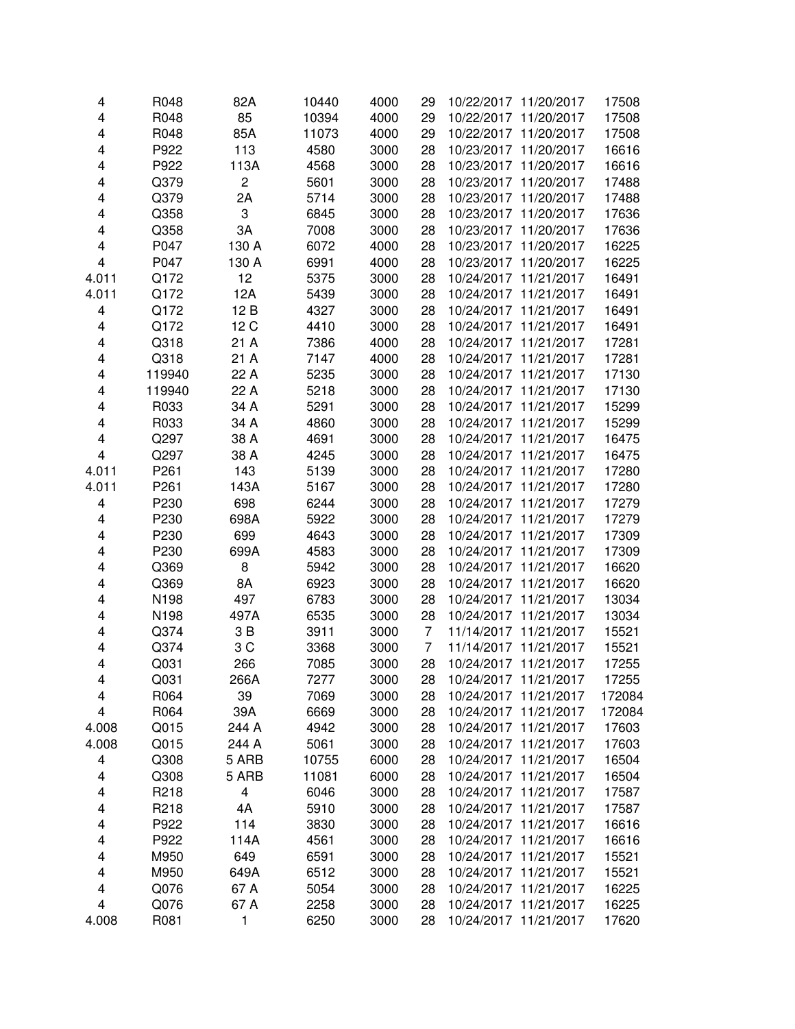| 4                       | R048   | 82A                     | 10440 | 4000 | 29 | 10/22/2017 11/20/2017    | 17508  |
|-------------------------|--------|-------------------------|-------|------|----|--------------------------|--------|
| 4                       | R048   | 85                      | 10394 | 4000 | 29 | 10/22/2017 11/20/2017    | 17508  |
| 4                       | R048   | 85A                     | 11073 | 4000 | 29 | 10/22/2017 11/20/2017    | 17508  |
| 4                       | P922   | 113                     | 4580  | 3000 | 28 | 10/23/2017<br>11/20/2017 | 16616  |
| 4                       | P922   | 113A                    | 4568  | 3000 | 28 | 10/23/2017 11/20/2017    | 16616  |
| 4                       | Q379   | $\overline{c}$          | 5601  | 3000 | 28 | 10/23/2017 11/20/2017    | 17488  |
| 4                       | Q379   | 2A                      | 5714  | 3000 | 28 | 10/23/2017 11/20/2017    | 17488  |
| 4                       | Q358   | 3                       | 6845  | 3000 | 28 | 10/23/2017 11/20/2017    | 17636  |
| 4                       | Q358   | 3A                      | 7008  | 3000 | 28 | 10/23/2017 11/20/2017    | 17636  |
| 4                       | P047   | 130 A                   | 6072  | 4000 | 28 | 10/23/2017 11/20/2017    | 16225  |
| $\overline{\mathbf{4}}$ | P047   | 130 A                   | 6991  | 4000 | 28 | 10/23/2017 11/20/2017    | 16225  |
| 4.011                   | Q172   | 12                      | 5375  | 3000 | 28 | 10/24/2017 11/21/2017    | 16491  |
| 4.011                   | Q172   | 12A                     | 5439  | 3000 | 28 | 10/24/2017 11/21/2017    | 16491  |
| 4                       | Q172   | 12B                     | 4327  | 3000 | 28 | 10/24/2017 11/21/2017    | 16491  |
| 4                       | Q172   | 12 C                    | 4410  | 3000 | 28 | 10/24/2017 11/21/2017    | 16491  |
| $\overline{\mathbf{4}}$ | Q318   | 21 A                    | 7386  | 4000 | 28 | 10/24/2017 11/21/2017    | 17281  |
| 4                       | Q318   | 21 A                    | 7147  | 4000 | 28 | 10/24/2017 11/21/2017    | 17281  |
| 4                       | 119940 | 22 A                    | 5235  | 3000 | 28 | 10/24/2017 11/21/2017    | 17130  |
| 4                       | 119940 | 22 A                    | 5218  | 3000 | 28 | 10/24/2017 11/21/2017    | 17130  |
| 4                       | R033   | 34 A                    | 5291  | 3000 | 28 | 10/24/2017 11/21/2017    | 15299  |
| 4                       | R033   | 34 A                    | 4860  | 3000 | 28 | 10/24/2017 11/21/2017    | 15299  |
| 4                       | Q297   | 38 A                    | 4691  | 3000 | 28 | 10/24/2017 11/21/2017    | 16475  |
| 4                       | Q297   | 38 A                    | 4245  | 3000 | 28 | 10/24/2017 11/21/2017    | 16475  |
| 4.011                   | P261   | 143                     | 5139  | 3000 | 28 | 10/24/2017 11/21/2017    | 17280  |
| 4.011                   | P261   | 143A                    | 5167  | 3000 | 28 | 10/24/2017 11/21/2017    | 17280  |
| $\overline{\mathbf{4}}$ | P230   | 698                     | 6244  | 3000 | 28 | 10/24/2017 11/21/2017    | 17279  |
| 4                       | P230   | 698A                    | 5922  | 3000 | 28 | 10/24/2017 11/21/2017    | 17279  |
| 4                       | P230   | 699                     | 4643  | 3000 | 28 | 10/24/2017 11/21/2017    | 17309  |
| 4                       | P230   | 699A                    | 4583  | 3000 | 28 | 10/24/2017 11/21/2017    | 17309  |
| 4                       | Q369   | 8                       | 5942  | 3000 | 28 | 10/24/2017 11/21/2017    | 16620  |
| 4                       | Q369   | 8A                      | 6923  | 3000 | 28 | 10/24/2017 11/21/2017    | 16620  |
| 4                       | N198   | 497                     | 6783  | 3000 | 28 | 10/24/2017 11/21/2017    | 13034  |
| 4                       | N198   | 497A                    | 6535  | 3000 | 28 | 10/24/2017 11/21/2017    | 13034  |
| 4                       | Q374   | 3 B                     | 3911  | 3000 | 7  | 11/14/2017 11/21/2017    | 15521  |
| 4                       | Q374   | 3C                      | 3368  | 3000 | 7  | 11/14/2017 11/21/2017    | 15521  |
| 4                       | Q031   | 266                     | 7085  | 3000 | 28 | 10/24/2017 11/21/2017    | 17255  |
| 4                       | Q031   | 266A                    | 7277  | 3000 | 28 | 10/24/2017 11/21/2017    | 17255  |
| 4                       | R064   | 39                      | 7069  | 3000 | 28 | 10/24/2017 11/21/2017    | 172084 |
| 4                       | R064   | 39A                     | 6669  | 3000 | 28 | 10/24/2017 11/21/2017    | 172084 |
| 4.008                   | Q015   | 244 A                   | 4942  | 3000 | 28 | 10/24/2017 11/21/2017    | 17603  |
| 4.008                   | Q015   | 244 A                   | 5061  | 3000 | 28 | 10/24/2017 11/21/2017    | 17603  |
| 4                       | Q308   | 5 ARB                   | 10755 | 6000 | 28 | 10/24/2017 11/21/2017    | 16504  |
| 4                       | Q308   | 5 ARB                   | 11081 | 6000 | 28 | 10/24/2017 11/21/2017    | 16504  |
| 4                       | R218   | $\overline{\mathbf{4}}$ | 6046  | 3000 | 28 | 10/24/2017 11/21/2017    | 17587  |
| 4                       | R218   | 4A                      | 5910  | 3000 | 28 | 10/24/2017 11/21/2017    | 17587  |
| 4                       | P922   | 114                     | 3830  | 3000 | 28 | 10/24/2017 11/21/2017    | 16616  |
| 4                       | P922   | 114A                    | 4561  | 3000 | 28 | 10/24/2017 11/21/2017    | 16616  |
| 4                       | M950   | 649                     | 6591  | 3000 | 28 | 10/24/2017 11/21/2017    | 15521  |
| 4                       | M950   | 649A                    | 6512  | 3000 | 28 | 10/24/2017 11/21/2017    | 15521  |
| 4                       | Q076   | 67 A                    | 5054  | 3000 | 28 | 10/24/2017 11/21/2017    | 16225  |
| $\overline{\mathbf{4}}$ | Q076   | 67 A                    | 2258  | 3000 | 28 | 10/24/2017 11/21/2017    | 16225  |
| 4.008                   | R081   | 1                       | 6250  | 3000 | 28 | 10/24/2017 11/21/2017    | 17620  |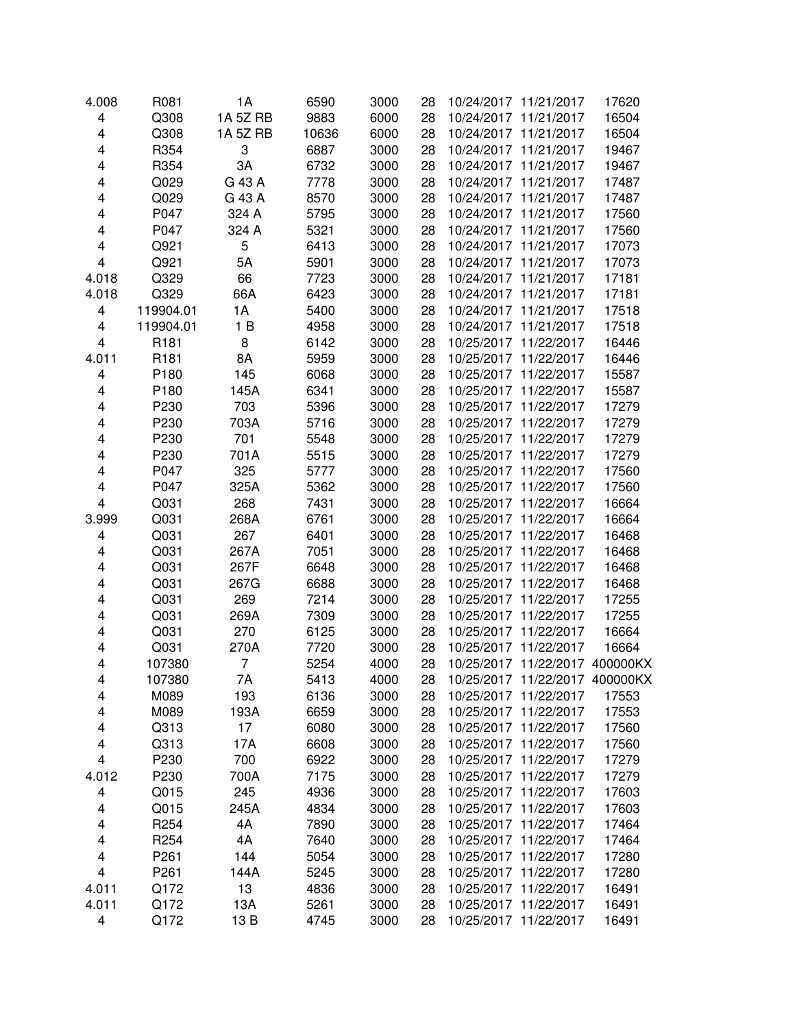| 4.008 | R081             | 1A             | 6590  | 3000 | 28 |            | 10/24/2017 11/21/2017          | 17620 |
|-------|------------------|----------------|-------|------|----|------------|--------------------------------|-------|
| 4     | Q308             | 1A 5Z RB       | 9883  | 6000 | 28 |            | 10/24/2017 11/21/2017          | 16504 |
| 4     | Q308             | 1A 5Z RB       | 10636 | 6000 | 28 |            | 10/24/2017 11/21/2017          | 16504 |
| 4     | R354             | 3              | 6887  | 3000 | 28 |            | 10/24/2017 11/21/2017          | 19467 |
| 4     | R354             | 3A             | 6732  | 3000 | 28 |            | 10/24/2017 11/21/2017          | 19467 |
| 4     | Q029             | G 43 A         | 7778  | 3000 | 28 |            | 10/24/2017 11/21/2017          | 17487 |
| 4     | Q029             | G 43 A         | 8570  | 3000 | 28 |            | 10/24/2017 11/21/2017          | 17487 |
| 4     | P047             | 324 A          | 5795  | 3000 | 28 |            | 10/24/2017 11/21/2017          | 17560 |
| 4     | P047             | 324 A          | 5321  | 3000 | 28 |            | 10/24/2017 11/21/2017          | 17560 |
| 4     | Q921             | 5              | 6413  | 3000 | 28 |            | 10/24/2017 11/21/2017          | 17073 |
| 4     | Q921             | 5A             | 5901  | 3000 | 28 |            | 10/24/2017 11/21/2017          | 17073 |
| 4.018 | Q329             | 66             | 7723  | 3000 | 28 |            | 10/24/2017 11/21/2017          | 17181 |
| 4.018 | Q329             | 66A            | 6423  | 3000 | 28 |            | 10/24/2017 11/21/2017          | 17181 |
| 4     | 119904.01        | 1A             | 5400  | 3000 | 28 |            | 10/24/2017 11/21/2017          | 17518 |
| 4     | 119904.01        | 1B             | 4958  | 3000 | 28 |            | 10/24/2017 11/21/2017          | 17518 |
| 4     | R <sub>181</sub> | 8              | 6142  | 3000 | 28 |            | 10/25/2017 11/22/2017          | 16446 |
| 4.011 | R <sub>181</sub> | 8A             | 5959  | 3000 | 28 |            | 10/25/2017 11/22/2017          | 16446 |
| 4     | P180             | 145            | 6068  | 3000 | 28 |            | 10/25/2017 11/22/2017          | 15587 |
| 4     | P180             | 145A           | 6341  | 3000 | 28 |            | 10/25/2017 11/22/2017          | 15587 |
| 4     | P230             | 703            | 5396  | 3000 | 28 |            | 10/25/2017 11/22/2017          | 17279 |
| 4     | P230             | 703A           | 5716  | 3000 | 28 |            | 10/25/2017 11/22/2017          | 17279 |
| 4     | P230             | 701            | 5548  | 3000 | 28 |            | 10/25/2017 11/22/2017          | 17279 |
| 4     | P230             | 701A           | 5515  | 3000 | 28 | 10/25/2017 | 11/22/2017                     | 17279 |
| 4     | P047             | 325            | 5777  | 3000 | 28 | 10/25/2017 | 11/22/2017                     | 17560 |
| 4     | P047             | 325A           | 5362  | 3000 | 28 | 10/25/2017 | 11/22/2017                     | 17560 |
| 4     | Q031             | 268            | 7431  | 3000 | 28 |            | 10/25/2017 11/22/2017          | 16664 |
| 3.999 | Q031             | 268A           | 6761  | 3000 | 28 |            | 10/25/2017 11/22/2017          | 16664 |
| 4     | Q031             | 267            | 6401  | 3000 | 28 |            | 10/25/2017 11/22/2017          | 16468 |
| 4     | Q031             | 267A           | 7051  | 3000 | 28 |            | 10/25/2017 11/22/2017          | 16468 |
| 4     | Q031             | 267F           | 6648  | 3000 | 28 |            | 10/25/2017 11/22/2017          | 16468 |
| 4     | Q031             | 267G           | 6688  | 3000 | 28 |            | 10/25/2017 11/22/2017          | 16468 |
| 4     | Q031             | 269            | 7214  | 3000 | 28 |            | 10/25/2017 11/22/2017          | 17255 |
| 4     | Q031             | 269A           | 7309  | 3000 | 28 |            | 10/25/2017 11/22/2017          | 17255 |
| 4     | Q031             | 270            | 6125  | 3000 | 28 |            | 10/25/2017 11/22/2017          | 16664 |
| 4     | Q031             | 270A           | 7720  | 3000 | 28 |            | 10/25/2017 11/22/2017          | 16664 |
| 4     | 107380           | $\overline{7}$ | 5254  | 4000 | 28 |            | 10/25/2017 11/22/2017 400000KX |       |
| 4     | 107380           | 7A             | 5413  | 4000 | 28 |            | 10/25/2017 11/22/2017 400000KX |       |
| 4     | M089             | 193            | 6136  | 3000 | 28 |            | 10/25/2017 11/22/2017          | 17553 |
| 4     | M089             | 193A           | 6659  | 3000 | 28 |            | 10/25/2017 11/22/2017          | 17553 |
| 4     | Q313             | 17             | 6080  | 3000 | 28 |            | 10/25/2017 11/22/2017          | 17560 |
| 4     | Q313             | 17A            | 6608  | 3000 | 28 |            | 10/25/2017 11/22/2017          | 17560 |
| 4     | P230             | 700            | 6922  | 3000 | 28 |            | 10/25/2017 11/22/2017          | 17279 |
| 4.012 | P230             | 700A           | 7175  | 3000 | 28 |            | 10/25/2017 11/22/2017          | 17279 |
| 4     | Q015             | 245            | 4936  | 3000 | 28 |            | 10/25/2017 11/22/2017          | 17603 |
| 4     | Q015             | 245A           | 4834  | 3000 | 28 |            | 10/25/2017 11/22/2017          | 17603 |
| 4     | R <sub>254</sub> | 4A             | 7890  | 3000 | 28 |            | 10/25/2017 11/22/2017          | 17464 |
| 4     | R <sub>254</sub> | 4A             | 7640  | 3000 | 28 |            | 10/25/2017 11/22/2017          | 17464 |
| 4     | P <sub>261</sub> | 144            | 5054  | 3000 | 28 |            | 10/25/2017 11/22/2017          | 17280 |
| 4     | P <sub>261</sub> | 144A           | 5245  | 3000 | 28 |            | 10/25/2017 11/22/2017          | 17280 |
| 4.011 | Q172             | 13             | 4836  | 3000 | 28 |            | 10/25/2017 11/22/2017          | 16491 |
| 4.011 | Q172             | 13A            | 5261  | 3000 | 28 |            | 10/25/2017 11/22/2017          | 16491 |
| 4     | Q172             | 13B            | 4745  | 3000 | 28 |            | 10/25/2017 11/22/2017          | 16491 |
|       |                  |                |       |      |    |            |                                |       |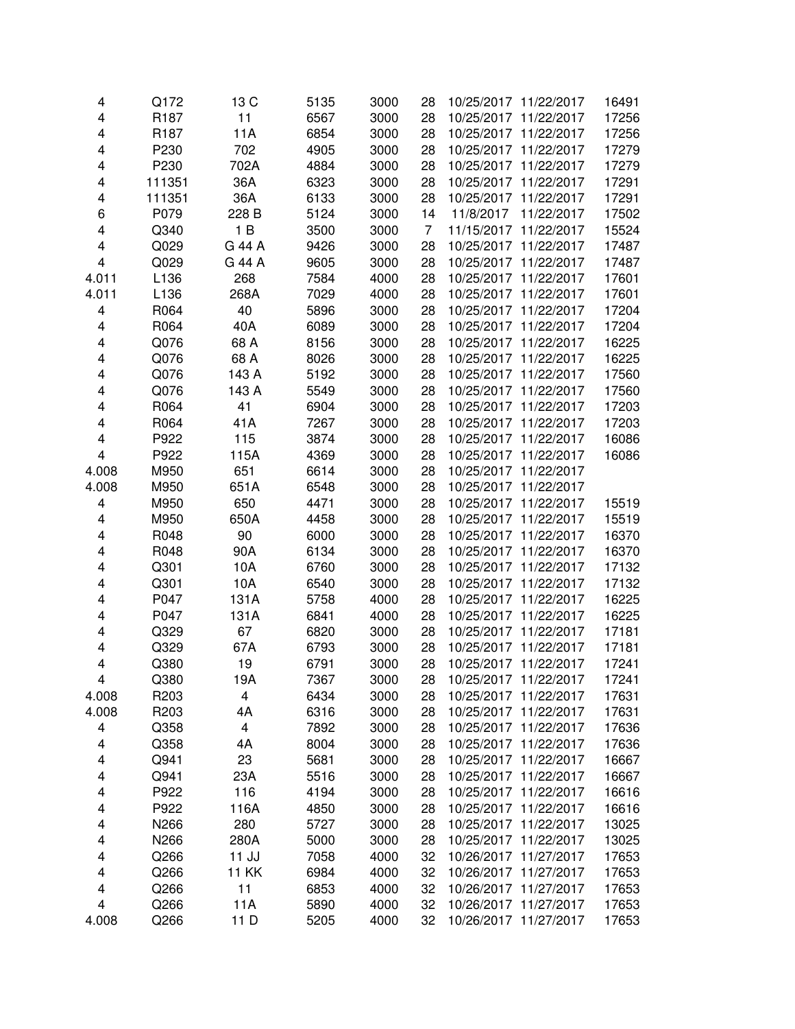| 4                       | Q172             | 13 C         | 5135 | 3000 | 28 | 10/25/2017 11/22/2017    | 16491 |
|-------------------------|------------------|--------------|------|------|----|--------------------------|-------|
| $\overline{\mathbf{4}}$ | R <sub>187</sub> | 11           | 6567 | 3000 | 28 | 10/25/2017 11/22/2017    | 17256 |
| 4                       | R <sub>187</sub> | 11A          | 6854 | 3000 | 28 | 10/25/2017 11/22/2017    | 17256 |
| 4                       | P230             | 702          | 4905 | 3000 | 28 | 10/25/2017 11/22/2017    | 17279 |
| 4                       | P230             | 702A         | 4884 | 3000 | 28 | 10/25/2017<br>11/22/2017 | 17279 |
| 4                       | 111351           | 36A          | 6323 | 3000 | 28 | 10/25/2017 11/22/2017    | 17291 |
| 4                       | 111351           | 36A          | 6133 | 3000 | 28 | 10/25/2017<br>11/22/2017 | 17291 |
| 6                       | P079             | 228 B        | 5124 | 3000 | 14 | 11/8/2017<br>11/22/2017  | 17502 |
| 4                       | Q340             | 1B           | 3500 | 3000 | 7  | 11/15/2017 11/22/2017    | 15524 |
| 4                       | Q029             | G 44 A       | 9426 | 3000 | 28 | 10/25/2017 11/22/2017    | 17487 |
| 4                       | Q029             | G 44 A       | 9605 | 3000 | 28 | 10/25/2017 11/22/2017    | 17487 |
| 4.011                   | L136             | 268          | 7584 | 4000 | 28 | 10/25/2017 11/22/2017    | 17601 |
| 4.011                   | L136             | 268A         | 7029 | 4000 | 28 | 10/25/2017 11/22/2017    | 17601 |
| 4                       | R064             | 40           | 5896 | 3000 | 28 | 10/25/2017 11/22/2017    | 17204 |
| 4                       | R064             | 40A          | 6089 | 3000 | 28 | 10/25/2017 11/22/2017    | 17204 |
| 4                       | Q076             | 68 A         | 8156 | 3000 | 28 | 10/25/2017 11/22/2017    | 16225 |
| 4                       | Q076             | 68 A         | 8026 | 3000 | 28 | 10/25/2017 11/22/2017    | 16225 |
| $\overline{\mathbf{4}}$ | Q076             | 143 A        | 5192 | 3000 | 28 | 10/25/2017 11/22/2017    | 17560 |
| 4                       | Q076             | 143 A        | 5549 | 3000 | 28 | 10/25/2017 11/22/2017    | 17560 |
| 4                       | R064             | 41           | 6904 | 3000 | 28 | 10/25/2017 11/22/2017    | 17203 |
| 4                       | R064             | 41A          | 7267 | 3000 | 28 | 10/25/2017 11/22/2017    | 17203 |
| 4                       | P922             | 115          | 3874 | 3000 | 28 | 10/25/2017 11/22/2017    | 16086 |
| $\overline{\mathbf{4}}$ | P922             | 115A         | 4369 | 3000 | 28 | 10/25/2017 11/22/2017    | 16086 |
| 4.008                   | M950             | 651          | 6614 | 3000 | 28 | 10/25/2017 11/22/2017    |       |
| 4.008                   | M950             | 651A         | 6548 | 3000 | 28 | 10/25/2017 11/22/2017    |       |
| 4                       | M950             | 650          | 4471 | 3000 | 28 | 10/25/2017 11/22/2017    | 15519 |
| 4                       | M950             | 650A         | 4458 | 3000 | 28 | 10/25/2017 11/22/2017    | 15519 |
| 4                       | R048             | 90           | 6000 | 3000 | 28 | 10/25/2017 11/22/2017    | 16370 |
| 4                       | R048             | 90A          | 6134 | 3000 | 28 | 10/25/2017 11/22/2017    | 16370 |
| 4                       | Q301             | 10A          | 6760 | 3000 | 28 | 10/25/2017 11/22/2017    | 17132 |
| 4                       | Q301             | 10A          | 6540 | 3000 | 28 | 10/25/2017 11/22/2017    | 17132 |
| 4                       | P047             | 131A         | 5758 | 4000 | 28 | 10/25/2017 11/22/2017    | 16225 |
| 4                       | P047             | 131A         | 6841 | 4000 | 28 | 10/25/2017 11/22/2017    | 16225 |
| 4                       | Q329             | 67           | 6820 | 3000 | 28 | 10/25/2017 11/22/2017    | 17181 |
| 4                       | Q329             | 67A          | 6793 | 3000 | 28 | 10/25/2017 11/22/2017    | 17181 |
| 4                       | Q380             | 19           | 6791 | 3000 | 28 | 10/25/2017 11/22/2017    | 17241 |
| 4                       | Q380             | 19A          | 7367 | 3000 | 28 | 10/25/2017 11/22/2017    | 17241 |
| 4.008                   | R203             | 4            | 6434 | 3000 | 28 | 10/25/2017 11/22/2017    | 17631 |
| 4.008                   | R <sub>203</sub> | 4A           | 6316 | 3000 | 28 | 10/25/2017 11/22/2017    | 17631 |
| 4                       | Q358             | 4            | 7892 | 3000 | 28 | 10/25/2017 11/22/2017    | 17636 |
| 4                       | Q358             | 4A           | 8004 | 3000 | 28 | 10/25/2017 11/22/2017    | 17636 |
| 4                       | Q941             | 23           | 5681 | 3000 | 28 | 10/25/2017 11/22/2017    | 16667 |
| 4                       | Q941             | 23A          | 5516 | 3000 | 28 | 10/25/2017 11/22/2017    | 16667 |
| 4                       | P922             | 116          | 4194 | 3000 | 28 | 10/25/2017 11/22/2017    | 16616 |
| 4                       | P922             | 116A         | 4850 | 3000 | 28 | 10/25/2017 11/22/2017    | 16616 |
| 4                       | N266             | 280          | 5727 | 3000 | 28 | 10/25/2017 11/22/2017    | 13025 |
| 4                       | N266             | 280A         | 5000 | 3000 | 28 | 10/25/2017 11/22/2017    | 13025 |
| 4                       | Q266             | $11$ $JJ$    | 7058 | 4000 | 32 | 10/26/2017 11/27/2017    | 17653 |
| 4                       | Q266             | <b>11 KK</b> | 6984 | 4000 | 32 | 10/26/2017 11/27/2017    | 17653 |
| 4                       | Q266             | 11           | 6853 | 4000 | 32 | 10/26/2017 11/27/2017    | 17653 |
| $\overline{\mathbf{4}}$ | Q266             | 11A          | 5890 | 4000 | 32 | 10/26/2017 11/27/2017    | 17653 |
| 4.008                   | Q266             | 11 D         | 5205 | 4000 | 32 | 10/26/2017 11/27/2017    | 17653 |
|                         |                  |              |      |      |    |                          |       |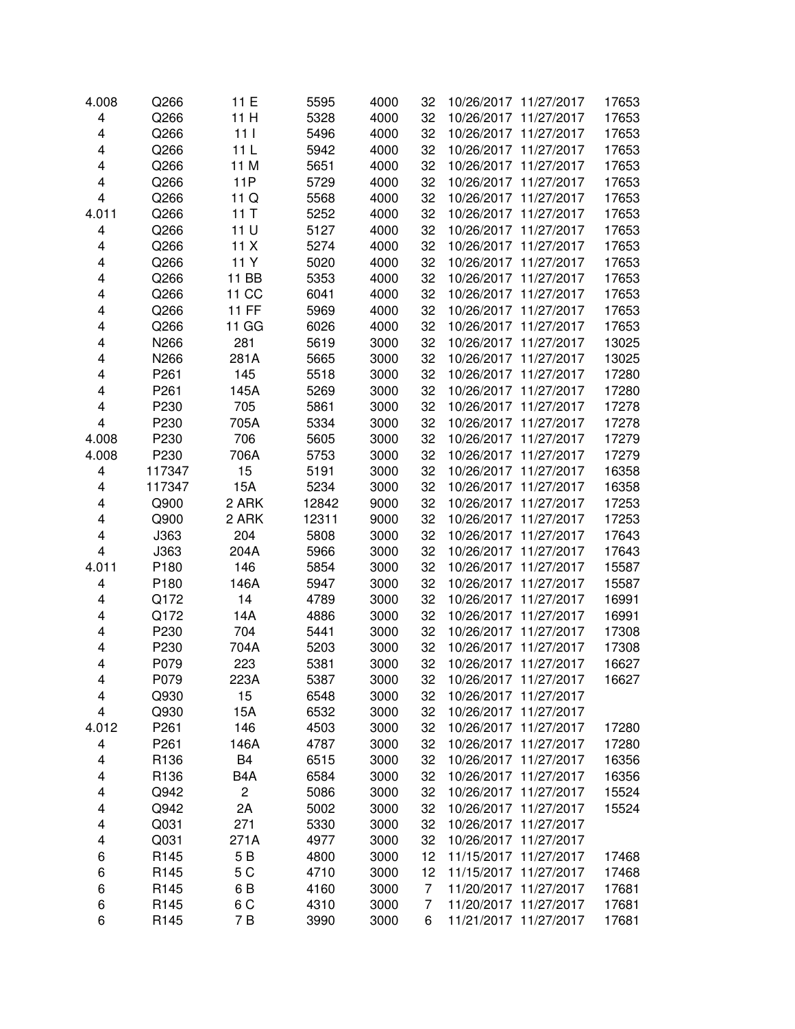| 4.008 | Q266             | 11 E             | 5595  | 4000 | 32 | 10/26/2017 11/27/2017    | 17653 |
|-------|------------------|------------------|-------|------|----|--------------------------|-------|
| 4     | Q266             | 11 H             | 5328  | 4000 | 32 | 10/26/2017 11/27/2017    | 17653 |
| 4     | Q266             | 111              | 5496  | 4000 | 32 | 10/26/2017 11/27/2017    | 17653 |
| 4     | Q266             | 11 <sub>L</sub>  | 5942  | 4000 | 32 | 10/26/2017 11/27/2017    | 17653 |
| 4     | Q266             | 11 M             | 5651  | 4000 | 32 | 11/27/2017<br>10/26/2017 | 17653 |
| 4     | Q266             | <b>11P</b>       | 5729  | 4000 | 32 | 10/26/2017 11/27/2017    | 17653 |
| 4     | Q266             | 11 Q             | 5568  | 4000 | 32 | 10/26/2017 11/27/2017    | 17653 |
| 4.011 | Q266             | 11T              | 5252  | 4000 | 32 | 10/26/2017 11/27/2017    | 17653 |
| 4     | Q266             | 11 U             | 5127  | 4000 | 32 | 10/26/2017 11/27/2017    | 17653 |
| 4     | Q266             | 11X              | 5274  | 4000 | 32 | 10/26/2017 11/27/2017    | 17653 |
| 4     | Q266             | 11 Y             | 5020  | 4000 | 32 | 10/26/2017 11/27/2017    | 17653 |
| 4     | Q266             | 11 BB            | 5353  | 4000 | 32 | 10/26/2017 11/27/2017    | 17653 |
| 4     | Q266             | 11 CC            | 6041  | 4000 | 32 | 10/26/2017 11/27/2017    | 17653 |
| 4     | Q266             | <b>11 FF</b>     | 5969  | 4000 | 32 | 10/26/2017 11/27/2017    | 17653 |
| 4     | Q266             | 11 GG            | 6026  | 4000 | 32 | 10/26/2017 11/27/2017    | 17653 |
| 4     | N266             | 281              | 5619  | 3000 | 32 | 10/26/2017 11/27/2017    | 13025 |
| 4     | N266             | 281A             | 5665  | 3000 | 32 | 10/26/2017 11/27/2017    | 13025 |
| 4     | P261             | 145              | 5518  | 3000 | 32 | 10/26/2017 11/27/2017    | 17280 |
| 4     | P <sub>261</sub> | 145A             | 5269  | 3000 | 32 | 10/26/2017 11/27/2017    | 17280 |
| 4     | P230             | 705              | 5861  | 3000 | 32 | 10/26/2017 11/27/2017    | 17278 |
| 4     | P230             | 705A             | 5334  | 3000 | 32 | 10/26/2017 11/27/2017    | 17278 |
| 4.008 | P230             | 706              | 5605  | 3000 | 32 | 10/26/2017 11/27/2017    | 17279 |
| 4.008 | P230             | 706A             | 5753  | 3000 | 32 | 10/26/2017 11/27/2017    | 17279 |
| 4     | 117347           | 15               | 5191  | 3000 | 32 | 10/26/2017 11/27/2017    | 16358 |
| 4     | 117347           | 15A              | 5234  | 3000 | 32 | 10/26/2017 11/27/2017    | 16358 |
| 4     | Q900             | 2 ARK            | 12842 | 9000 | 32 | 10/26/2017 11/27/2017    | 17253 |
| 4     | Q900             | 2 ARK            | 12311 | 9000 | 32 | 10/26/2017 11/27/2017    | 17253 |
| 4     | J363             | 204              | 5808  | 3000 | 32 | 10/26/2017 11/27/2017    | 17643 |
| 4     | J363             | 204A             | 5966  | 3000 | 32 | 10/26/2017 11/27/2017    | 17643 |
| 4.011 | P180             | 146              | 5854  | 3000 | 32 | 10/26/2017 11/27/2017    | 15587 |
| 4     | P180             | 146A             | 5947  | 3000 | 32 | 10/26/2017 11/27/2017    | 15587 |
| 4     | Q172             | 14               | 4789  | 3000 | 32 | 10/26/2017 11/27/2017    | 16991 |
| 4     | Q172             | 14A              | 4886  | 3000 | 32 | 10/26/2017 11/27/2017    | 16991 |
| 4     | P230             | 704              | 5441  | 3000 | 32 | 10/26/2017 11/27/2017    | 17308 |
| 4     | P230             | 704A             | 5203  | 3000 | 32 | 10/26/2017 11/27/2017    | 17308 |
| 4     | P079             | 223              | 5381  | 3000 | 32 | 10/26/2017 11/27/2017    | 16627 |
| 4     | P079             | 223A             | 5387  | 3000 | 32 | 10/26/2017 11/27/2017    | 16627 |
| 4     | Q930             | 15               | 6548  | 3000 | 32 | 10/26/2017 11/27/2017    |       |
| 4     | Q930             | 15A              | 6532  | 3000 | 32 | 10/26/2017 11/27/2017    |       |
| 4.012 | P261             | 146              | 4503  | 3000 | 32 | 10/26/2017 11/27/2017    | 17280 |
| 4     | P261             | 146A             | 4787  | 3000 | 32 | 10/26/2017 11/27/2017    | 17280 |
| 4     | R136             | B <sub>4</sub>   | 6515  | 3000 | 32 | 10/26/2017 11/27/2017    | 16356 |
| 4     | R136             | B <sub>4</sub> A | 6584  | 3000 | 32 | 10/26/2017 11/27/2017    | 16356 |
| 4     | Q942             | $\overline{c}$   | 5086  | 3000 | 32 | 10/26/2017 11/27/2017    | 15524 |
| 4     | Q942             | 2A               | 5002  | 3000 | 32 | 10/26/2017 11/27/2017    | 15524 |
| 4     | Q031             | 271              | 5330  | 3000 | 32 | 10/26/2017 11/27/2017    |       |
| 4     | Q031             | 271A             | 4977  | 3000 | 32 | 10/26/2017 11/27/2017    |       |
| 6     | R145             | 5B               | 4800  | 3000 | 12 | 11/15/2017 11/27/2017    | 17468 |
| 6     | R145             | 5 C              | 4710  | 3000 | 12 | 11/15/2017 11/27/2017    | 17468 |
| 6     | R <sub>145</sub> | 6B               | 4160  | 3000 | 7  | 11/20/2017 11/27/2017    | 17681 |
| 6     | R145             | 6 <sub>C</sub>   | 4310  | 3000 | 7  | 11/20/2017 11/27/2017    | 17681 |
| 6     | R145             | 7 B              | 3990  | 3000 | 6  | 11/21/2017 11/27/2017    | 17681 |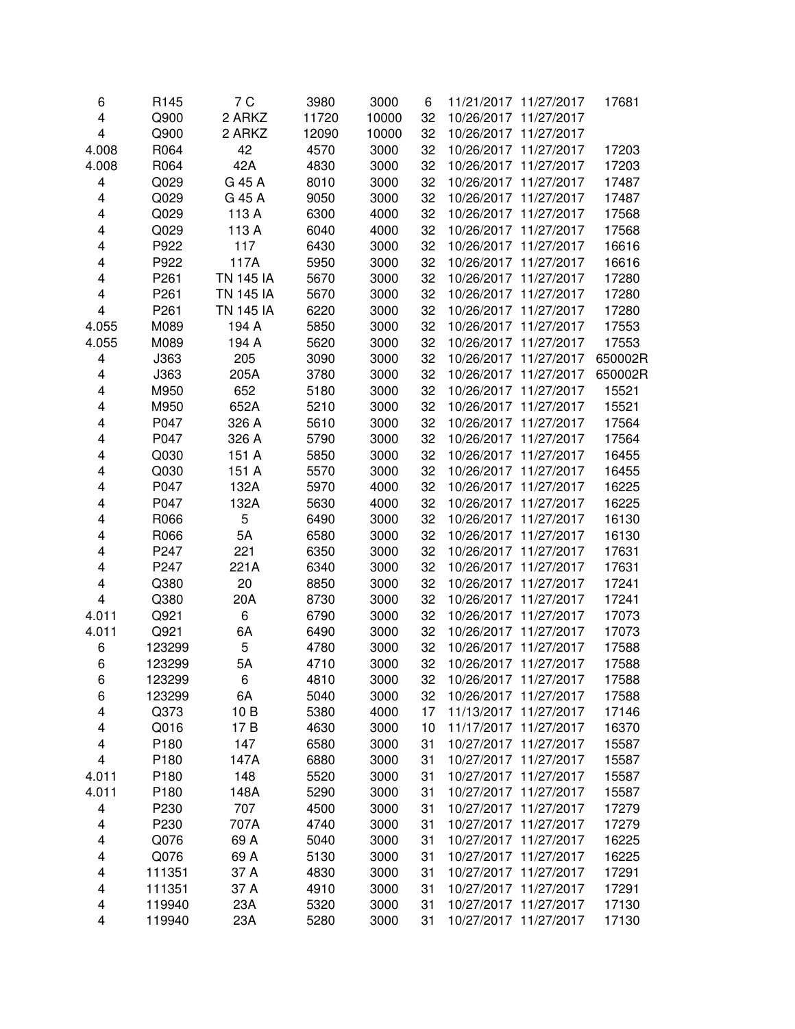| 6     | R145             | 7 C              | 3980  | 3000  | 6  |            | 11/21/2017 11/27/2017 | 17681   |
|-------|------------------|------------------|-------|-------|----|------------|-----------------------|---------|
| 4     | Q900             | 2 ARKZ           | 11720 | 10000 | 32 |            | 10/26/2017 11/27/2017 |         |
| 4     | Q900             | 2 ARKZ           | 12090 | 10000 | 32 |            | 10/26/2017 11/27/2017 |         |
| 4.008 | R064             | 42               | 4570  | 3000  | 32 |            | 10/26/2017 11/27/2017 | 17203   |
| 4.008 | R064             | 42A              | 4830  | 3000  | 32 |            | 10/26/2017 11/27/2017 | 17203   |
| 4     | Q029             | G 45 A           | 8010  | 3000  | 32 |            | 10/26/2017 11/27/2017 | 17487   |
| 4     | Q029             | G 45 A           | 9050  | 3000  | 32 |            | 10/26/2017 11/27/2017 | 17487   |
| 4     | Q029             | 113 A            | 6300  | 4000  | 32 |            | 10/26/2017 11/27/2017 | 17568   |
| 4     | Q029             | 113 A            | 6040  | 4000  | 32 |            | 10/26/2017 11/27/2017 | 17568   |
| 4     | P922             | 117              | 6430  | 3000  | 32 |            | 10/26/2017 11/27/2017 | 16616   |
| 4     | P922             | 117A             | 5950  | 3000  | 32 |            | 10/26/2017 11/27/2017 | 16616   |
| 4     | P261             | <b>TN 145 IA</b> | 5670  | 3000  | 32 |            | 10/26/2017 11/27/2017 | 17280   |
| 4     | P <sub>261</sub> | <b>TN 145 IA</b> | 5670  | 3000  | 32 |            | 10/26/2017 11/27/2017 | 17280   |
| 4     | P <sub>261</sub> | <b>TN 145 IA</b> | 6220  | 3000  | 32 |            | 10/26/2017 11/27/2017 | 17280   |
| 4.055 | M089             | 194 A            | 5850  | 3000  | 32 |            | 10/26/2017 11/27/2017 | 17553   |
| 4.055 | M089             | 194 A            | 5620  | 3000  | 32 |            | 10/26/2017 11/27/2017 | 17553   |
| 4     | J363             | 205              | 3090  | 3000  | 32 |            | 10/26/2017 11/27/2017 | 650002R |
| 4     | J363             | 205A             | 3780  | 3000  | 32 | 10/26/2017 | 11/27/2017            | 650002R |
| 4     | M950             | 652              | 5180  | 3000  | 32 |            | 10/26/2017 11/27/2017 | 15521   |
| 4     | M950             | 652A             | 5210  | 3000  | 32 |            | 10/26/2017 11/27/2017 | 15521   |
| 4     | P047             | 326 A            | 5610  | 3000  | 32 |            | 10/26/2017 11/27/2017 | 17564   |
| 4     | P047             | 326 A            | 5790  | 3000  | 32 |            | 10/26/2017 11/27/2017 | 17564   |
| 4     | Q030             | 151 A            | 5850  | 3000  | 32 |            | 10/26/2017 11/27/2017 | 16455   |
| 4     | Q030             | 151 A            | 5570  | 3000  | 32 |            | 10/26/2017 11/27/2017 | 16455   |
| 4     | P047             | 132A             | 5970  | 4000  | 32 |            | 10/26/2017 11/27/2017 | 16225   |
| 4     | P047             | 132A             | 5630  | 4000  | 32 |            | 10/26/2017 11/27/2017 | 16225   |
| 4     | R066             | 5                | 6490  | 3000  | 32 |            | 10/26/2017 11/27/2017 | 16130   |
| 4     | R066             | 5A               | 6580  | 3000  | 32 |            | 10/26/2017 11/27/2017 | 16130   |
| 4     | P247             | 221              | 6350  | 3000  | 32 |            | 10/26/2017 11/27/2017 | 17631   |
| 4     | P247             | 221A             | 6340  | 3000  | 32 |            | 10/26/2017 11/27/2017 | 17631   |
| 4     | Q380             | 20               | 8850  | 3000  | 32 |            | 10/26/2017 11/27/2017 | 17241   |
| 4     | Q380             | 20A              | 8730  | 3000  | 32 |            | 10/26/2017 11/27/2017 | 17241   |
| 4.011 | Q921             | 6                | 6790  | 3000  | 32 |            | 10/26/2017 11/27/2017 | 17073   |
| 4.011 | Q921             | 6A               | 6490  | 3000  | 32 |            | 10/26/2017 11/27/2017 | 17073   |
| 6     | 123299           | 5                | 4780  | 3000  | 32 |            | 10/26/2017 11/27/2017 | 17588   |
| 6     | 123299           | 5A               | 4710  | 3000  | 32 |            | 10/26/2017 11/27/2017 | 17588   |
| 6     | 123299           | 6                | 4810  | 3000  | 32 |            | 10/26/2017 11/27/2017 | 17588   |
| 6     | 123299           | 6A               | 5040  | 3000  | 32 |            | 10/26/2017 11/27/2017 | 17588   |
| 4     | Q373             | 10B              | 5380  | 4000  | 17 |            | 11/13/2017 11/27/2017 | 17146   |
| 4     | Q016             | 17 B             | 4630  | 3000  | 10 |            | 11/17/2017 11/27/2017 | 16370   |
| 4     | P180             | 147              | 6580  | 3000  | 31 |            | 10/27/2017 11/27/2017 | 15587   |
| 4     | P180             | 147A             | 6880  | 3000  | 31 |            | 10/27/2017 11/27/2017 | 15587   |
| 4.011 | P180             | 148              | 5520  | 3000  | 31 |            | 10/27/2017 11/27/2017 | 15587   |
| 4.011 | P180             | 148A             | 5290  | 3000  | 31 |            | 10/27/2017 11/27/2017 | 15587   |
| 4     | P230             | 707              | 4500  | 3000  | 31 |            | 10/27/2017 11/27/2017 | 17279   |
| 4     | P230             | 707A             | 4740  | 3000  | 31 |            | 10/27/2017 11/27/2017 | 17279   |
| 4     | Q076             | 69 A             | 5040  | 3000  | 31 |            | 10/27/2017 11/27/2017 | 16225   |
| 4     | Q076             | 69 A             | 5130  | 3000  | 31 |            | 10/27/2017 11/27/2017 | 16225   |
| 4     | 111351           | 37 A             | 4830  | 3000  | 31 |            | 10/27/2017 11/27/2017 | 17291   |
| 4     | 111351           | 37 A             | 4910  | 3000  | 31 |            | 10/27/2017 11/27/2017 | 17291   |
| 4     | 119940           | 23A              | 5320  | 3000  | 31 |            | 10/27/2017 11/27/2017 | 17130   |
| 4     | 119940           | 23A              | 5280  | 3000  | 31 |            | 10/27/2017 11/27/2017 | 17130   |
|       |                  |                  |       |       |    |            |                       |         |